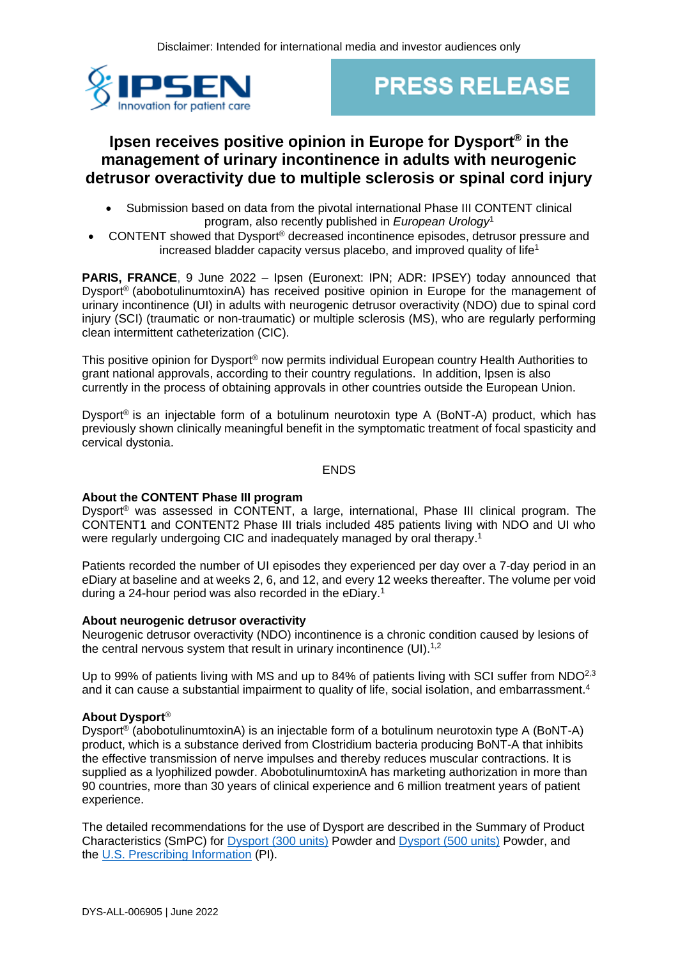

# **PRESS RELEASE**

# **Ipsen receives positive opinion in Europe for Dysport® in the management of urinary incontinence in adults with neurogenic detrusor overactivity due to multiple sclerosis or spinal cord injury**

- Submission based on data from the pivotal international Phase III CONTENT clinical program, also recently published in *European Urology*<sup>1</sup>
- CONTENT showed that Dysport® decreased incontinence episodes, detrusor pressure and increased bladder capacity versus placebo, and improved quality of life<sup>1</sup>

**PARIS, FRANCE**, 9 June 2022 – Ipsen (Euronext: IPN; ADR: IPSEY) today announced that Dysport® (abobotulinumtoxinA) has received positive opinion in Europe for the management of urinary incontinence (UI) in adults with neurogenic detrusor overactivity (NDO) due to spinal cord injury (SCI) (traumatic or non-traumatic) or multiple sclerosis (MS), who are regularly performing clean intermittent catheterization (CIC).

This positive opinion for Dysport® now permits individual European country Health Authorities to grant national approvals, according to their country regulations. In addition, Ipsen is also currently in the process of obtaining approvals in other countries outside the European Union.

Dysport<sup>®</sup> is an injectable form of a botulinum neurotoxin type A (BoNT-A) product, which has previously shown clinically meaningful benefit in the symptomatic treatment of focal spasticity and cervical dystonia.

ENDS

# **About the CONTENT Phase III program**

Dysport® was assessed in CONTENT, a large, international, Phase III clinical program. The CONTENT1 and CONTENT2 Phase III trials included 485 patients living with NDO and UI who were regularly undergoing CIC and inadequately managed by oral therapy.<sup>1</sup>

Patients recorded the number of UI episodes they experienced per day over a 7-day period in an eDiary at baseline and at weeks 2, 6, and 12, and every 12 weeks thereafter. The volume per void during a 24-hour period was also recorded in the eDiary. 1

## **About neurogenic detrusor overactivity**

Neurogenic detrusor overactivity (NDO) incontinence is a chronic condition caused by lesions of the central nervous system that result in urinary incontinence (UI).<sup>1,2</sup>

Up to 99% of patients living with MS and up to 84% of patients living with SCI suffer from NDO<sup>2,3</sup> and it can cause a substantial impairment to quality of life, social isolation, and embarrassment.<sup>4</sup>

# **About Dysport**®

Dysport<sup>®</sup> (abobotulinumtoxinA) is an injectable form of a botulinum neurotoxin type A (BoNT-A) product, which is a substance derived from Clostridium bacteria producing BoNT-A that inhibits the effective transmission of nerve impulses and thereby reduces muscular contractions. It is supplied as a lyophilized powder. AbobotulinumtoxinA has marketing authorization in more than 90 countries, more than 30 years of clinical experience and 6 million treatment years of patient experience.

The detailed recommendations for the use of Dysport are described in the Summary of Product Characteristics (SmPC) for [Dysport \(300 units\)](https://www.medicines.org.uk/emc/product/964/smpc) Powder and [Dysport \(500 units\)](https://www.medicines.org.uk/emc/product/7261/smpc) Powder, and the [U.S. Prescribing Information](https://www.ipsen.com/websites/Ipsen_Online/wp-content/uploads/2020/07/10002305/DYS-US-004998_Dysport-PI-July-2020.pdf) (PI).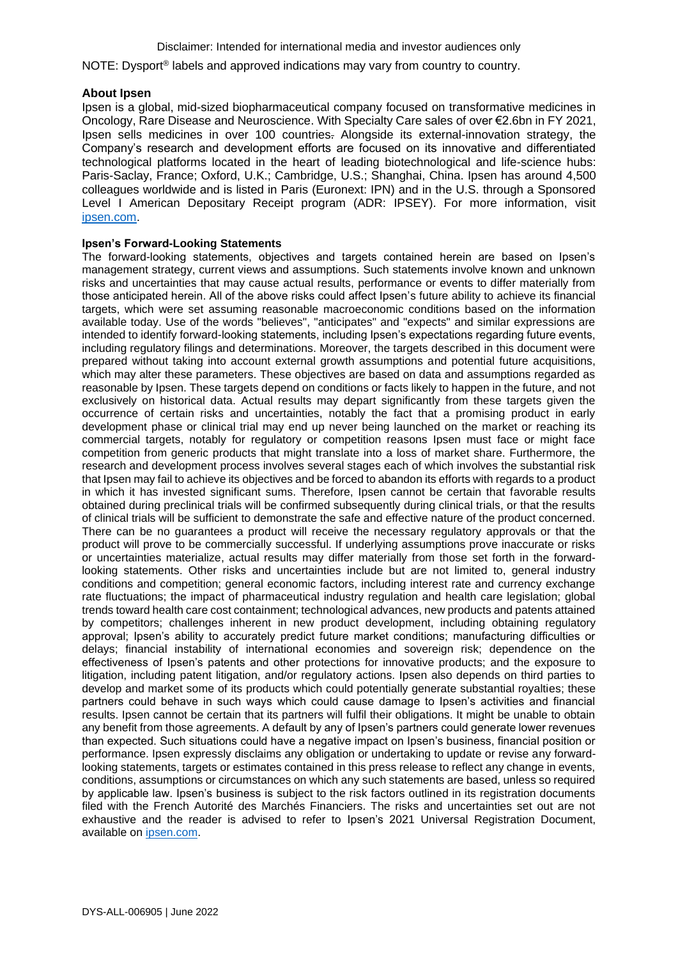#### Disclaimer: Intended for international media and investor audiences only

NOTE: Dysport® labels and approved indications may vary from country to country.

#### **About Ipsen**

Ipsen is a global, mid-sized biopharmaceutical company focused on transformative medicines in Oncology, Rare Disease and Neuroscience. With Specialty Care sales of over €2.6bn in FY 2021, Ipsen sells medicines in over 100 countries. Alongside its external-innovation strategy, the Company's research and development efforts are focused on its innovative and differentiated technological platforms located in the heart of leading biotechnological and life-science hubs: Paris-Saclay, France; Oxford, U.K.; Cambridge, U.S.; Shanghai, China. Ipsen has around 4,500 colleagues worldwide and is listed in Paris (Euronext: IPN) and in the U.S. through a Sponsored Level I American Depositary Receipt program (ADR: IPSEY). For more information, visit [ipsen.com.](https://www.ipsen.com/)

#### **Ipsen's Forward-Looking Statements**

The forward-looking statements, objectives and targets contained herein are based on Ipsen's management strategy, current views and assumptions. Such statements involve known and unknown risks and uncertainties that may cause actual results, performance or events to differ materially from those anticipated herein. All of the above risks could affect Ipsen's future ability to achieve its financial targets, which were set assuming reasonable macroeconomic conditions based on the information available today. Use of the words "believes", "anticipates" and "expects" and similar expressions are intended to identify forward-looking statements, including Ipsen's expectations regarding future events, including regulatory filings and determinations. Moreover, the targets described in this document were prepared without taking into account external growth assumptions and potential future acquisitions, which may alter these parameters. These objectives are based on data and assumptions regarded as reasonable by Ipsen. These targets depend on conditions or facts likely to happen in the future, and not exclusively on historical data. Actual results may depart significantly from these targets given the occurrence of certain risks and uncertainties, notably the fact that a promising product in early development phase or clinical trial may end up never being launched on the market or reaching its commercial targets, notably for regulatory or competition reasons Ipsen must face or might face competition from generic products that might translate into a loss of market share. Furthermore, the research and development process involves several stages each of which involves the substantial risk that Ipsen may fail to achieve its objectives and be forced to abandon its efforts with regards to a product in which it has invested significant sums. Therefore, Ipsen cannot be certain that favorable results obtained during preclinical trials will be confirmed subsequently during clinical trials, or that the results of clinical trials will be sufficient to demonstrate the safe and effective nature of the product concerned. There can be no guarantees a product will receive the necessary regulatory approvals or that the product will prove to be commercially successful. If underlying assumptions prove inaccurate or risks or uncertainties materialize, actual results may differ materially from those set forth in the forwardlooking statements. Other risks and uncertainties include but are not limited to, general industry conditions and competition; general economic factors, including interest rate and currency exchange rate fluctuations; the impact of pharmaceutical industry regulation and health care legislation; global trends toward health care cost containment; technological advances, new products and patents attained by competitors; challenges inherent in new product development, including obtaining regulatory approval; Ipsen's ability to accurately predict future market conditions; manufacturing difficulties or delays; financial instability of international economies and sovereign risk; dependence on the effectiveness of Ipsen's patents and other protections for innovative products; and the exposure to litigation, including patent litigation, and/or regulatory actions. Ipsen also depends on third parties to develop and market some of its products which could potentially generate substantial royalties; these partners could behave in such ways which could cause damage to Ipsen's activities and financial results. Ipsen cannot be certain that its partners will fulfil their obligations. It might be unable to obtain any benefit from those agreements. A default by any of Ipsen's partners could generate lower revenues than expected. Such situations could have a negative impact on Ipsen's business, financial position or performance. Ipsen expressly disclaims any obligation or undertaking to update or revise any forwardlooking statements, targets or estimates contained in this press release to reflect any change in events, conditions, assumptions or circumstances on which any such statements are based, unless so required by applicable law. Ipsen's business is subject to the risk factors outlined in its registration documents filed with the French Autorité des Marchés Financiers. The risks and uncertainties set out are not exhaustive and the reader is advised to refer to Ipsen's 2021 Universal Registration Document, available on [ipsen.com.](https://www.ipsen.com/)